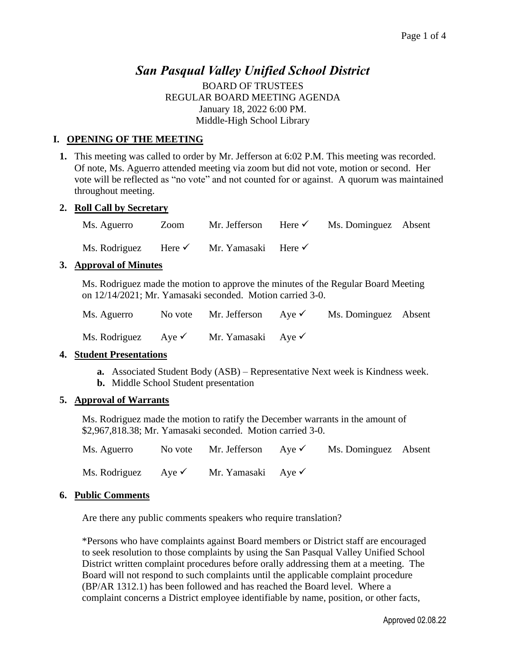# *San Pasqual Valley Unified School District*

BOARD OF TRUSTEES REGULAR BOARD MEETING AGENDA January 18, 2022 6:00 PM. Middle-High School Library

# **I. OPENING OF THE MEETING**

**1.** This meeting was called to order by Mr. Jefferson at 6:02 P.M. This meeting was recorded. Of note, Ms. Aguerro attended meeting via zoom but did not vote, motion or second. Her vote will be reflected as "no vote" and not counted for or against. A quorum was maintained throughout meeting.

### **2. Roll Call by Secretary**

Ms. Aguerro Zoom Mr. Jefferson Here <del>V</del> Ms. Dominguez Absent Ms. Rodriguez Here <del>V</del> Mr. Yamasaki Here <del>V</del>

### **3. Approval of Minutes**

Ms. Rodriguez made the motion to approve the minutes of the Regular Board Meeting on 12/14/2021; Mr. Yamasaki seconded. Motion carried 3-0.

| Ms. Aguerro                    | No vote Mr. Jefferson Aye $\checkmark$ | Ms. Dominguez Absent |  |
|--------------------------------|----------------------------------------|----------------------|--|
| Ms. Rodriguez Aye $\checkmark$ | Mr. Yamasaki Aye $\checkmark$          |                      |  |

### **4. Student Presentations**

- **a.** Associated Student Body (ASB) Representative Next week is Kindness week.
- **b.** Middle School Student presentation

### **5. Approval of Warrants**

Ms. Rodriguez made the motion to ratify the December warrants in the amount of \$2,967,818.38; Mr. Yamasaki seconded. Motion carried 3-0.

| Ms. Aguerro                    | No vote Mr. Jefferson Aye $\checkmark$ | Ms. Dominguez Absent |  |
|--------------------------------|----------------------------------------|----------------------|--|
| Ms. Rodriguez Aye $\checkmark$ | Mr. Yamasaki Aye $\checkmark$          |                      |  |

### **6. Public Comments**

Are there any public comments speakers who require translation?

\*Persons who have complaints against Board members or District staff are encouraged to seek resolution to those complaints by using the San Pasqual Valley Unified School District written complaint procedures before orally addressing them at a meeting. The Board will not respond to such complaints until the applicable complaint procedure (BP/AR 1312.1) has been followed and has reached the Board level. Where a complaint concerns a District employee identifiable by name, position, or other facts,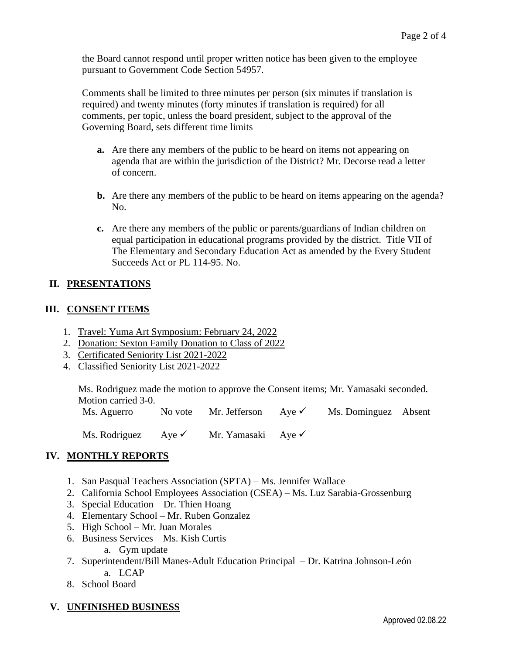the Board cannot respond until proper written notice has been given to the employee pursuant to Government Code Section 54957.

Comments shall be limited to three minutes per person (six minutes if translation is required) and twenty minutes (forty minutes if translation is required) for all comments, per topic, unless the board president, subject to the approval of the Governing Board, sets different time limits

- **a.** Are there any members of the public to be heard on items not appearing on agenda that are within the jurisdiction of the District? Mr. Decorse read a letter of concern.
- **b.** Are there any members of the public to be heard on items appearing on the agenda? No.
- **c.** Are there any members of the public or parents/guardians of Indian children on equal participation in educational programs provided by the district. Title VII of The Elementary and Secondary Education Act as amended by the Every Student Succeeds Act or PL 114-95. No.

# **II. PRESENTATIONS**

### **III. CONSENT ITEMS**

- 1. Travel: Yuma Art Symposium: February 24, 2022
- 2. Donation: Sexton Family Donation to Class of 2022
- 3. Certificated Seniority List 2021-2022
- 4. Classified Seniority List 2021-2022

Ms. Rodriguez made the motion to approve the Consent items; Mr. Yamasaki seconded. Motion carried 3-0.

Ms. Aguerro No vote Mr. Jefferson  $Aye \checkmark$  Ms. Dominguez Absent

Ms. Rodriguez Aye <del>V</del> Mr. Yamasaki Aye V

# **IV. MONTHLY REPORTS**

- 1. San Pasqual Teachers Association (SPTA) Ms. Jennifer Wallace
- 2. California School Employees Association (CSEA) Ms. Luz Sarabia-Grossenburg
- 3. Special Education Dr. Thien Hoang
- 4. Elementary School Mr. Ruben Gonzalez
- 5. High School Mr. Juan Morales
- 6. Business Services Ms. Kish Curtis
	- a. Gym update
- 7. Superintendent/Bill Manes-Adult Education Principal Dr. Katrina Johnson-León a. LCAP
- 8. School Board
- **V. UNFINISHED BUSINESS**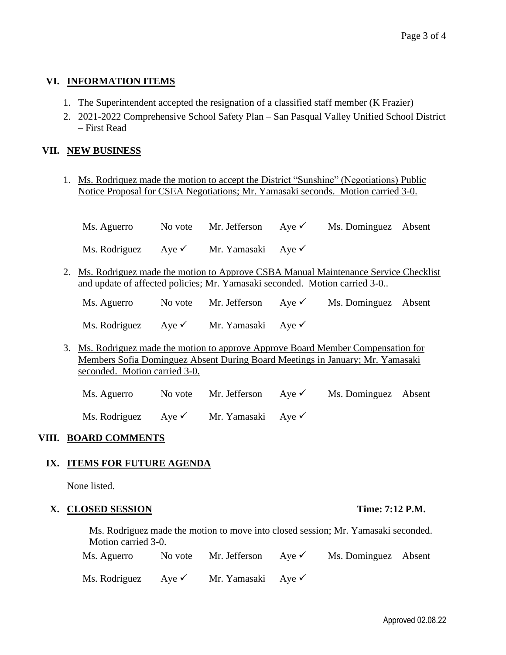# **VI. INFORMATION ITEMS**

- 1. The Superintendent accepted the resignation of a classified staff member (K Frazier)
- 2. 2021-2022 Comprehensive School Safety Plan San Pasqual Valley Unified School District – First Read

# **VII. NEW BUSINESS**

1. Ms. Rodriquez made the motion to accept the District "Sunshine" (Negotiations) Public Notice Proposal for CSEA Negotiations; Mr. Yamasaki seconds. Motion carried 3-0.

| Ms. Aguerro                    | No vote Mr. Jefferson Aye $\checkmark$ | Ms. Dominguez Absent |  |
|--------------------------------|----------------------------------------|----------------------|--|
| Ms. Rodriguez Aye $\checkmark$ | Mr. Yamasaki Aye $\checkmark$          |                      |  |

2. Ms. Rodriguez made the motion to Approve CSBA Manual Maintenance Service Checklist and update of affected policies; Mr. Yamasaki seconded. Motion carried 3-0..

| Ms. Aguerro                    | No vote Mr. Jefferson Aye $\checkmark$ | Ms. Dominguez Absent |  |
|--------------------------------|----------------------------------------|----------------------|--|
| Ms. Rodriguez Aye $\checkmark$ | Mr. Yamasaki Aye $\checkmark$          |                      |  |

- 3. Ms. Rodriguez made the motion to approve Approve Board Member Compensation for Members Sofia Dominguez Absent During Board Meetings in January; Mr. Yamasaki seconded. Motion carried 3-0.
	- Ms. Aguerro No vote Mr. Jefferson  $Aye \checkmark$  Ms. Dominguez Absent Ms. Rodriguez Aye <del>V</del> Mr. Yamasaki Aye V

### **VIII. BOARD COMMENTS**

# **IX. ITEMS FOR FUTURE AGENDA**

None listed.

### **X. CLOSED SESSION Time: 7:12 P.M.**

Ms. Rodriguez made the motion to move into closed session; Mr. Yamasaki seconded. Motion carried 3-0.

| Ms. Aguerro                    | No vote Mr. Jefferson Aye $\checkmark$ | Ms. Dominguez Absent |  |
|--------------------------------|----------------------------------------|----------------------|--|
| Ms. Rodriguez Aye $\checkmark$ | Mr. Yamasaki Aye $\checkmark$          |                      |  |